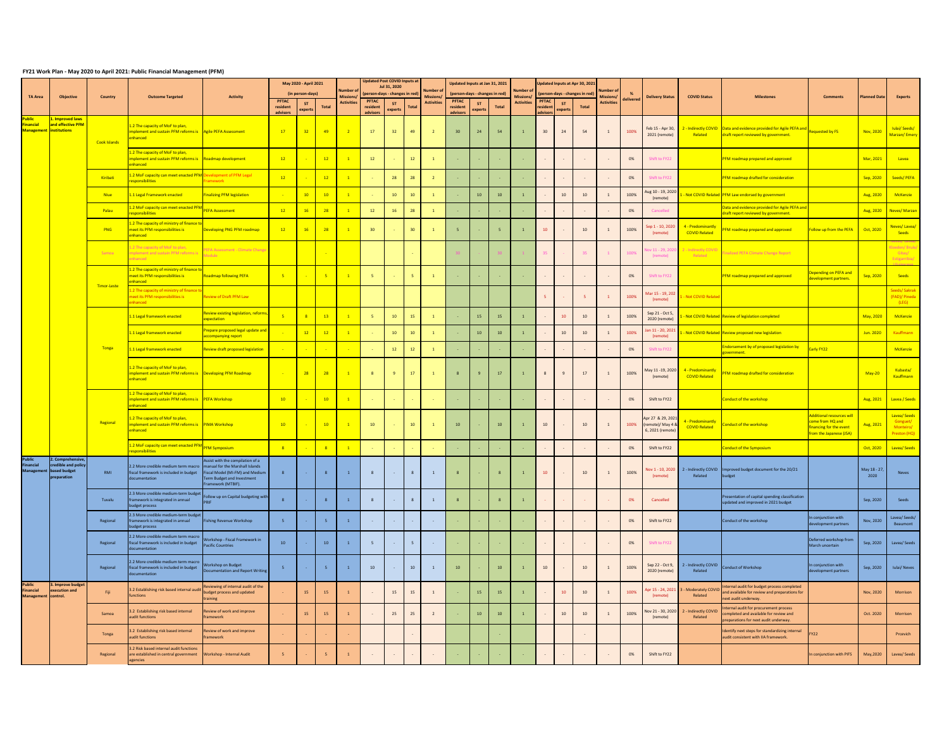## **FY21 Work Plan - May 2020 to April 2021: Public Financial Management (PFM)**

| <b>TA Area</b>                                               | Objective                                               | Country      | <b>Outcome Targeted</b>                                                                                     | <b>Activity</b>                                                                                                                                           | <b>PFTAC</b><br>resident | May 2020 - April 2021<br>(in person-days)<br><b>ST</b> | Total           | Number<br><b>Missions</b><br><b>Activities</b> | <b>PFTAC</b><br>resident | <b>Updated Post COVID Inputs at</b><br>Jul 31, 2020<br>(person-days - changes in red<br><b>ST</b> | <b>Total</b>    | Number c<br>Missions<br><b>Activities</b> | <b>PFTAC</b><br>resident    | Updated Inputs at Jan 31, 2021<br>(person-days - changes in red)<br>-ST | Total | Number (<br>Missions<br><b>Activities</b> | <b>PFTAC</b><br>resident    | ST             | Updated Inputs at Apr 30, 2021<br>(person-days - changes in red)<br>Total | <b>Number of</b><br><b>Missions/</b><br><b>Activities</b> | delivered | <b>Delivery Status</b>                                 | <b>COVID Status</b>                               | <b>Milestones</b>                                                                                                         | <b>Comments</b>                                                                                    | <b>Planned Date</b>  | <b>Experts</b>                                       |
|--------------------------------------------------------------|---------------------------------------------------------|--------------|-------------------------------------------------------------------------------------------------------------|-----------------------------------------------------------------------------------------------------------------------------------------------------------|--------------------------|--------------------------------------------------------|-----------------|------------------------------------------------|--------------------------|---------------------------------------------------------------------------------------------------|-----------------|-------------------------------------------|-----------------------------|-------------------------------------------------------------------------|-------|-------------------------------------------|-----------------------------|----------------|---------------------------------------------------------------------------|-----------------------------------------------------------|-----------|--------------------------------------------------------|---------------------------------------------------|---------------------------------------------------------------------------------------------------------------------------|----------------------------------------------------------------------------------------------------|----------------------|------------------------------------------------------|
| <u>Public</u><br><b>Financial</b><br>Management institutions | <mark>. Improved laws</mark><br>and effective PFM       | Cook Islands | 1.2 The capacity of MoF to plan,<br>implement and sustain PFM reforms is Agile PEFA Assessment<br>enhanced  |                                                                                                                                                           | advisors<br>17           | experts<br>$\begin{array}{c c} \hline 32 \end{array}$  | $-49$           | $\overline{2}$                                 | advisors<br>17           | experts<br>32                                                                                     | 49              | $\overline{2}$                            | advisors<br>30 <sup>°</sup> | experts<br>24                                                           | 54    |                                           | advisors<br>30 <sup>°</sup> | experts<br>24  | 54                                                                        |                                                           | 100%      | Feb 15 - Apr 30,<br>2021 (remote)                      | Related                                           | 2 - Indirectly COVID   Data and evidence provided for Agile PEFA and<br>draft report reviewed by government.              | Requested by FS                                                                                    | Nov, 2020            | <b>Iulai/Seeds/</b><br>Marzan/Emery                  |
|                                                              |                                                         |              | 1.2 The capacity of MoF to plan,<br>implement and sustain PFM reforms is Roadmap development<br>enhanced    |                                                                                                                                                           | $-12$                    |                                                        | 12              | $\overline{1}$                                 | 12                       |                                                                                                   | 12              |                                           |                             |                                                                         |       |                                           |                             | $\sim$         |                                                                           |                                                           | 0%        | Shift to FY22                                          |                                                   | PFM roadmap prepared and approved                                                                                         |                                                                                                    | Mar, 2021            | Lavea                                                |
|                                                              |                                                         | Kiribati     | .2 MoF capacity can meet enacted PFM Development of PFM Legal<br>esponsibilities                            | amework                                                                                                                                                   | $-12$                    |                                                        | 12              | $\overline{1}$                                 |                          | 28                                                                                                | 28              | $\overline{2}$                            |                             |                                                                         |       |                                           |                             |                |                                                                           |                                                           | 0%        | Shift to FY22                                          |                                                   | PFM roadmap drafted for consideration                                                                                     |                                                                                                    | Sep, 2020            | Seeds/PEFA                                           |
|                                                              |                                                         | <b>Niue</b>  | 1.1 Legal Framework enacted                                                                                 | inalizing PFM legislation                                                                                                                                 |                          | 10                                                     | 10 <sup>°</sup> | $\overline{1}$                                 |                          | 10                                                                                                | 10              |                                           |                             | 10                                                                      | 10    |                                           |                             | 10             | 10                                                                        |                                                           | 100%      | ug 10 - 19, 2020<br>(remote)                           |                                                   | - Not COVID Related PFM Law endorsed by government                                                                        |                                                                                                    | Aug, 2020            | McKenzie                                             |
|                                                              |                                                         | Palau        | .2 MoF capacity can meet enacted PFI<br>esponsibilities                                                     | <b>EFA Assessment</b>                                                                                                                                     | $\overline{12}$          | 16                                                     | 28              | $\overline{1}$                                 | 12                       | 16                                                                                                | 28              |                                           |                             |                                                                         |       |                                           |                             | $\sim$         | $\sim$                                                                    |                                                           | 0%        | Cancelled                                              |                                                   | Data and evidence provided for Agile PEFA and<br>draft report reviewed by government.                                     |                                                                                                    |                      | Aug, 2020 Neves/Marzan                               |
|                                                              |                                                         | PNG          | 1.2 The capacity of ministry of finance to<br>neet its PFM responsibilities is<br>enhanced                  | Developing PNG PFM roadmap                                                                                                                                | $-12$                    | 16                                                     | 28              | $\overline{1}$                                 | 30 <sup>°</sup>          |                                                                                                   | 30              |                                           |                             |                                                                         |       |                                           | 10                          |                | 10                                                                        |                                                           | 100%      | Sep 1 - 10, 2020<br>(remote)                           | 4 - Predominantly<br><b>COVID Related</b>         | PFM roadmap prepared and approved                                                                                         | Follow up from the PEFA                                                                            | Oct, 2020            | Neves/Lavea/<br>Seeds                                |
|                                                              |                                                         | Samoa        | .2 The capacity of MoF to plan,<br>nplement and sustain PFM reforms is<br>nhanced                           | <b>EFA Assessment - Climate Change</b><br>odule                                                                                                           |                          |                                                        | $\sim$          |                                                |                          |                                                                                                   | $\sim$ $-$ .    |                                           |                             |                                                                         |       |                                           |                             |                | 35                                                                        |                                                           | 100%      | ov 11 - 29, 202<br>(remote)                            | 2 - Indirectly COVID<br>Related                   | inalized PEFA Climate Change Report                                                                                       |                                                                                                    |                      | loeden/Brule<br>Gitay/<br>Estigarribia/              |
|                                                              |                                                         | Timor-Leste  | 1.2 The capacity of ministry of finance to<br>meet its PFM responsibilities is<br>enhanced                  | Roadmap following PEFA                                                                                                                                    | $-5$                     |                                                        | $-5$            | $\sqrt{1}$                                     | $-5$                     |                                                                                                   |                 |                                           |                             |                                                                         |       |                                           |                             |                |                                                                           |                                                           | 0%        | Shift to FY22                                          |                                                   | <b>PFM roadmap prepared and approved</b>                                                                                  | <b>Pepending on PEFA and</b><br>development partners.                                              | Sep, 2020            | Seeds                                                |
|                                                              |                                                         |              | 1.2 The capacity of ministry of finance t<br>meet its PFM responsibilities is<br>nhanced                    | eview of Draft PFM Law                                                                                                                                    |                          |                                                        |                 |                                                |                          |                                                                                                   |                 |                                           |                             |                                                                         |       |                                           |                             |                |                                                                           |                                                           | 100%      | Aar 15 - 19, 202<br>(remote)                           | L - Not COVID Relate                              |                                                                                                                           |                                                                                                    |                      | Seeds/Sakrak<br>(FAD)/ Pineda<br>(LEG)               |
|                                                              |                                                         | <b>Tonga</b> | 1.1 Legal framework enacted                                                                                 | <mark>Review existing legislation, reforms</mark><br>xpectation                                                                                           |                          | 8 <sup>2</sup>                                         | 13 <sup>°</sup> | $\overline{1}$                                 | $-5$                     | 10                                                                                                | 15              |                                           |                             | 15                                                                      | 15    |                                           |                             | 10             | 10                                                                        |                                                           | 100%      | Sep 21 - Oct 5<br>2020 (remote)                        |                                                   | - Not COVID Related Review of legislation completed                                                                       |                                                                                                    | May, 2020            | McKenzie                                             |
|                                                              |                                                         |              | 1.1 Legal framework enacted                                                                                 | repare proposed legal update and<br><mark>ccompanying report</mark>                                                                                       |                          | 12                                                     | 12              | $\overline{1}$                                 |                          | 10                                                                                                | 10 <sup>°</sup> |                                           |                             | 10                                                                      | 10    |                                           |                             | 10             | 10                                                                        |                                                           | 100%      | Jan 11 - 20, 202<br>(remote)                           |                                                   | A - Not COVID Related Review proposed new legislation                                                                     |                                                                                                    | Jun. 2020            | Kauffmann                                            |
|                                                              |                                                         |              | 1.1 Legal framework enacted                                                                                 | Review draft proposed legislation                                                                                                                         |                          | <b>Contract Contract</b>                               | $\sim$          | $\sim 10^{-10}$                                | $\sim 10^{-1}$           | 12                                                                                                | 12              |                                           |                             |                                                                         |       |                                           |                             |                |                                                                           |                                                           | 0%        | Shift to FY22                                          |                                                   | Endorsement by of proposed legislation by<br>zovernment.                                                                  | arly FY22                                                                                          |                      | McKenzie                                             |
|                                                              |                                                         |              | 1.2 The capacity of MoF to plan,<br>implement and sustain PFM reforms is Developing PFM Roadmap<br>enhanced |                                                                                                                                                           |                          | 28                                                     | 28              | $\boxed{1}$                                    | 8 <sup>2</sup>           | $\overline{q}$                                                                                    | 17              | $\overline{1}$                            |                             | $\mathbf{q}$                                                            | 17    |                                           | $\mathcal{R}$               | 9              | 17                                                                        |                                                           | 100%      | May 11 -19, 2020<br>(remote)                           | 4 - Predominantly<br><b>COVID Related</b>         | PFM roadmap drafted for consideration                                                                                     |                                                                                                    | May-20               | Kubasta/<br>Kauffmann                                |
|                                                              |                                                         | Regional     | 1.2 The capacity of MoF to plan,<br>implement and sustain PFM reforms is PEFA Workshop<br>enhanced          |                                                                                                                                                           | $\overline{10}$          |                                                        | 10              | $\overline{1}$                                 | $\sim 10^{-1}$           | <b>College</b>                                                                                    | <b>Card</b>     | <b>College</b>                            |                             |                                                                         |       |                                           |                             | $\sim 100$     | $\sim$                                                                    |                                                           | 0%        | Shift to FY22                                          |                                                   | <b>Conduct of the workshop</b>                                                                                            |                                                                                                    |                      | Aug, 2021   Lavea / Seeds                            |
|                                                              |                                                         |              | 1.2 The capacity of MoF to plan,<br>mplement and sustain PFM reforms is PIMA Workshop<br>enhanced           |                                                                                                                                                           | 10                       | $\sim$ 100 $\mu$                                       | 10              | $\boxed{1}$                                    | 10                       | <b>Contract</b>                                                                                   | 10              | $\overline{1}$                            | 10                          |                                                                         | 10    |                                           | 10                          | $\sim$ $-$     | 10                                                                        |                                                           | 100%      | Apr 27 & 29, 202<br>remote)/ May 4<br>6, 2021 (remote) | 4 - Predominantly<br><b>COVID Related</b>         | Conduct of the workshop                                                                                                   | Additional resources will<br>come from HQ and<br>inancing for the event<br>from the Japanese (JSA) | Aug, 2021            | Lavea/Seeds<br>Gonguet/<br>Monteiro/<br>Preston (HQ) |
|                                                              |                                                         |              | 1.2 MoF capacity can meet enacted PFM<br>esponsibilities                                                    | <b>PFM Symposium</b>                                                                                                                                      |                          |                                                        |                 | $\overline{1}$                                 | $\sim$                   |                                                                                                   | <b>Contract</b> | $\sim$ $-$                                |                             |                                                                         |       |                                           |                             |                |                                                                           |                                                           | 0%        | Shift to FY22                                          |                                                   | Conduct of the Symposium                                                                                                  |                                                                                                    | Oct, 2020            | Lavea/Seeds                                          |
| <b>Public</b><br><b>Financial</b><br>Management based budget | 2. Comprehensive,<br>credible and policy<br>preparation | <b>RMI</b>   | 2.2 More credible medium term macro<br>fiscal framework is included in budget<br>documentation              | Assist with the compilation of a<br>manual for the Marshall Islands<br>iscal Model (MI-FM) and Medium<br>Term Budget and Investment<br>Framework (MTBIF). |                          |                                                        | 8 <sup>°</sup>  | $\mathbf{1}$                                   | 8 <sup>2</sup>           | $\sim 10^{-1}$                                                                                    | 8 <sup>1</sup>  | $\overline{1}$                            | 8                           |                                                                         |       |                                           | 10                          | $\sim$ $-$     | 10                                                                        |                                                           | 100%      | (remote)                                               | Related                                           | Vov 1 - 10, 2020 2 - Indirectly COVID Improved budget document for the 20/21<br>budget                                    |                                                                                                    | May 18 - 27,<br>2020 | <b>Neves</b>                                         |
|                                                              |                                                         | Tuvalu       | 2.3 More credible medium-term budget<br>framework is integrated in annual<br>budget process                 | ollow up on Capital budgeting with                                                                                                                        |                          |                                                        |                 |                                                | -8                       |                                                                                                   | - 8             |                                           |                             |                                                                         |       |                                           |                             |                |                                                                           |                                                           | 0%        | Cancelled                                              |                                                   | Presentation of capital spending classification<br>updated and improved in 2021 budget                                    |                                                                                                    | Sep, 2020            | Seeds                                                |
|                                                              |                                                         | Regional     | 2.3 More credible medium-term budget<br>framework is integrated in annual<br>budget process                 | ishing Revenue Workshop                                                                                                                                   | - 5                      |                                                        |                 | $\overline{1}$                                 |                          | $\sim 100$                                                                                        | $\sim 100$      |                                           |                             |                                                                         |       |                                           |                             | $\sim 100$     |                                                                           |                                                           | 0%        | Shift to FY22                                          |                                                   | Conduct of the workshop                                                                                                   | In conjunction with<br>development partners                                                        | Nov, 2020            | Lavea/Seeds/<br>Beaumont                             |
|                                                              |                                                         | Regional     | 2.2 More credible medium term macro<br>fiscal framework is included in budget<br>documentation              | Vorkshop - Fiscal Framework in<br><b>Pacific Countries</b>                                                                                                | 10                       |                                                        | 10              | $\overline{1}$                                 | - 5                      |                                                                                                   | $-5$            |                                           |                             |                                                                         |       |                                           |                             |                |                                                                           |                                                           | 0%        | Shift to FY22                                          |                                                   |                                                                                                                           | Deferred workshop from<br>March uncertain                                                          |                      | Sep, 2020   Lavea/ Seeds                             |
|                                                              |                                                         | Regional     | 2.2 More credible medium term macro<br>fiscal framework is included in budget<br>documentation              | <b>Norkshop on Budget</b><br>Documentation and Report Writing                                                                                             |                          |                                                        | $-5$            | $\overline{1}$                                 | 10                       | $\sim 10^{-1}$                                                                                    | 10              |                                           | 10                          |                                                                         | 10    |                                           | 10                          | $\sim$ $ \sim$ | 10                                                                        |                                                           | 100%      | Sep 22 - Oct 9,<br>2020 (remote)                       | 2 - Indirectly COVID<br>Related                   | <b>Conduct of Workshop</b>                                                                                                | In conjunction with<br>development partners                                                        |                      | Sep, 2020   Iulai/ Neves                             |
| <b>Public</b><br><b>Financial</b><br>Management control.     | 3. Improve budget<br>execution and                      | Fiji         | 3.2 Establishing risk based internal audi<br>unctions                                                       | Reviewing of internal audit of the<br>budget process and updated<br>raining                                                                               |                          | 15                                                     | 15              |                                                | $\sim$                   | 15                                                                                                | 15              | $\overline{1}$                            | <b>Contract</b>             | 15                                                                      | 15    |                                           | $\sim$ $-$                  | 10             | 10                                                                        |                                                           | 100%      | (remote)                                               | Apr 15 - 24, 2021 3 - Moderately COVII<br>Related | Internal audit for budget process completed<br>and available for review and preparations for<br>next audit underway.      |                                                                                                    | Nov, 2020            | Morrison                                             |
|                                                              |                                                         | Samoa        | 3.2 Establishing risk based internal<br>audit functions                                                     | eview of work and improve<br>ramework                                                                                                                     |                          | 15                                                     | 15              |                                                |                          | 25                                                                                                | 25              | $\overline{2}$                            |                             | 10                                                                      | 10    |                                           |                             | 10             | 10                                                                        |                                                           | 100%      | Vov 21 - 30, 2020<br>(remote)                          | 2 - Indirectly COVID<br>Related                   | Internal audit for procurement process<br>completed and available for review and<br>preparations for next audit underway. |                                                                                                    | Oct. 2020            | Morrison                                             |
|                                                              |                                                         | Tonga        | 3.2 Establishing risk based internal<br>audit functions                                                     | eview of work and improve<br><sup>F</sup> ramework                                                                                                        | <b>Contract</b>          |                                                        |                 |                                                |                          |                                                                                                   |                 |                                           |                             |                                                                         |       |                                           |                             |                | $\sim$                                                                    |                                                           |           |                                                        |                                                   | Identify next steps for standardizing internal<br>audit consistent with IIA framework.                                    | <b>FY22</b>                                                                                        |                      | Prcevich                                             |
|                                                              |                                                         | Regional     | 3.2 Risk based internal audit functions<br>are established in central government<br>gencies                 | <b>Workshop - Internal Audit</b>                                                                                                                          |                          |                                                        |                 |                                                |                          |                                                                                                   | $\sim 100$      |                                           |                             |                                                                         |       |                                           |                             | $\sim$         |                                                                           |                                                           | 0%        | Shift to FY22                                          |                                                   |                                                                                                                           | n conjunction with PIFS                                                                            | May, 2020            | Lavea/Seeds                                          |